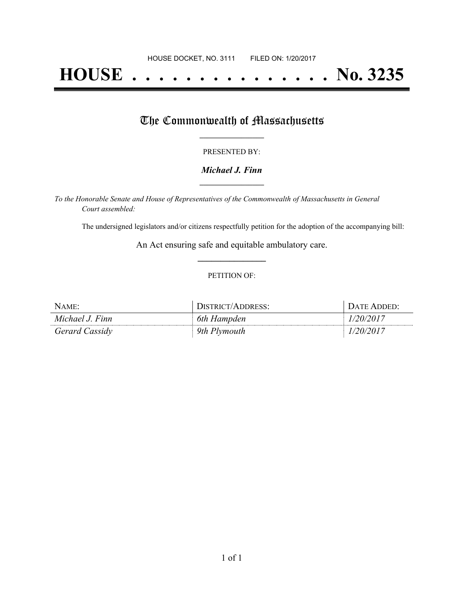# **HOUSE . . . . . . . . . . . . . . . No. 3235**

## The Commonwealth of Massachusetts

#### PRESENTED BY:

#### *Michael J. Finn* **\_\_\_\_\_\_\_\_\_\_\_\_\_\_\_\_\_**

*To the Honorable Senate and House of Representatives of the Commonwealth of Massachusetts in General Court assembled:*

The undersigned legislators and/or citizens respectfully petition for the adoption of the accompanying bill:

An Act ensuring safe and equitable ambulatory care. **\_\_\_\_\_\_\_\_\_\_\_\_\_\_\_**

#### PETITION OF:

| NAME:           | DISTRICT/ADDRESS: | DATE ADDED: |
|-----------------|-------------------|-------------|
| Michael J. Finn | 6th Hampden       | 1/20/2017   |
| Gerard Cassidy  | 9th Plymouth      | 1/20/2017   |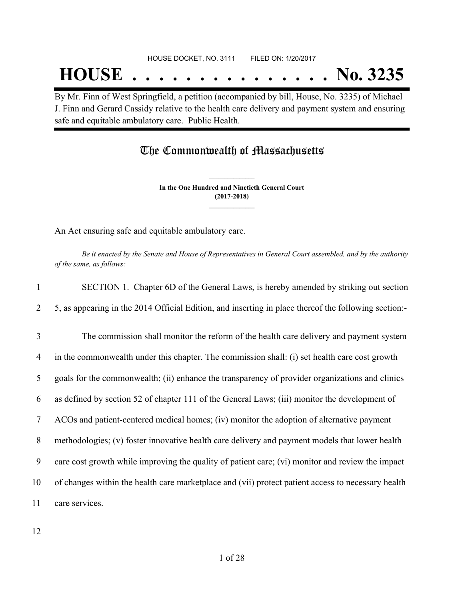## **HOUSE . . . . . . . . . . . . . . . No. 3235**

By Mr. Finn of West Springfield, a petition (accompanied by bill, House, No. 3235) of Michael J. Finn and Gerard Cassidy relative to the health care delivery and payment system and ensuring safe and equitable ambulatory care. Public Health.

### The Commonwealth of Massachusetts

**In the One Hundred and Ninetieth General Court (2017-2018) \_\_\_\_\_\_\_\_\_\_\_\_\_\_\_**

**\_\_\_\_\_\_\_\_\_\_\_\_\_\_\_**

An Act ensuring safe and equitable ambulatory care.

Be it enacted by the Senate and House of Representatives in General Court assembled, and by the authority *of the same, as follows:*

| $\mathbf{1}$ | SECTION 1. Chapter 6D of the General Laws, is hereby amended by striking out section                 |
|--------------|------------------------------------------------------------------------------------------------------|
| 2            | 5, as appearing in the 2014 Official Edition, and inserting in place thereof the following section:- |
| 3            | The commission shall monitor the reform of the health care delivery and payment system               |
| 4            | in the commonwealth under this chapter. The commission shall: (i) set health care cost growth        |
| 5            | goals for the commonwealth; (ii) enhance the transparency of provider organizations and clinics      |
| 6            | as defined by section 52 of chapter 111 of the General Laws; (iii) monitor the development of        |
| 7            | ACOs and patient-centered medical homes; (iv) monitor the adoption of alternative payment            |
| 8            | methodologies; (v) foster innovative health care delivery and payment models that lower health       |
| 9            | care cost growth while improving the quality of patient care; (vi) monitor and review the impact     |
| 10           | of changes within the health care marketplace and (vii) protect patient access to necessary health   |
| 11           | care services.                                                                                       |
|              |                                                                                                      |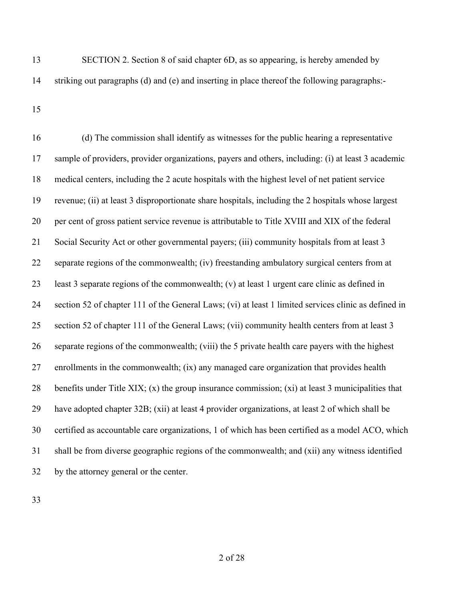- SECTION 2. Section 8 of said chapter 6D, as so appearing, is hereby amended by striking out paragraphs (d) and (e) and inserting in place thereof the following paragraphs:-
- 

 (d) The commission shall identify as witnesses for the public hearing a representative sample of providers, provider organizations, payers and others, including: (i) at least 3 academic medical centers, including the 2 acute hospitals with the highest level of net patient service revenue; (ii) at least 3 disproportionate share hospitals, including the 2 hospitals whose largest per cent of gross patient service revenue is attributable to Title XVIII and XIX of the federal Social Security Act or other governmental payers; (iii) community hospitals from at least 3 separate regions of the commonwealth; (iv) freestanding ambulatory surgical centers from at least 3 separate regions of the commonwealth; (v) at least 1 urgent care clinic as defined in section 52 of chapter 111 of the General Laws; (vi) at least 1 limited services clinic as defined in section 52 of chapter 111 of the General Laws; (vii) community health centers from at least 3 separate regions of the commonwealth; (viii) the 5 private health care payers with the highest enrollments in the commonwealth; (ix) any managed care organization that provides health benefits under Title XIX; (x) the group insurance commission; (xi) at least 3 municipalities that have adopted chapter 32B; (xii) at least 4 provider organizations, at least 2 of which shall be certified as accountable care organizations, 1 of which has been certified as a model ACO, which shall be from diverse geographic regions of the commonwealth; and (xii) any witness identified by the attorney general or the center.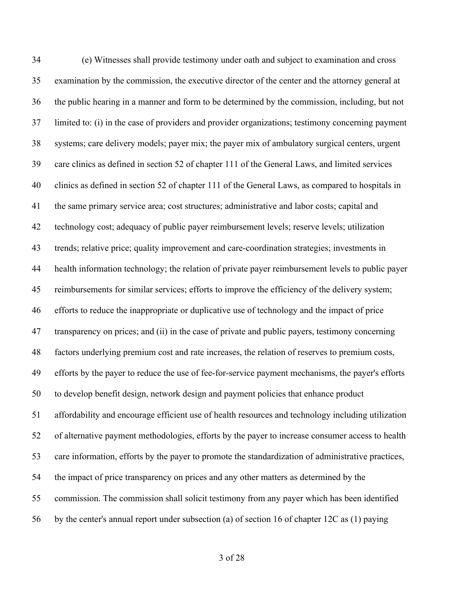(e) Witnesses shall provide testimony under oath and subject to examination and cross examination by the commission, the executive director of the center and the attorney general at the public hearing in a manner and form to be determined by the commission, including, but not limited to: (i) in the case of providers and provider organizations; testimony concerning payment systems; care delivery models; payer mix; the payer mix of ambulatory surgical centers, urgent care clinics as defined in section 52 of chapter 111 of the General Laws, and limited services clinics as defined in section 52 of chapter 111 of the General Laws, as compared to hospitals in the same primary service area; cost structures; administrative and labor costs; capital and technology cost; adequacy of public payer reimbursement levels; reserve levels; utilization trends; relative price; quality improvement and care-coordination strategies; investments in health information technology; the relation of private payer reimbursement levels to public payer reimbursements for similar services; efforts to improve the efficiency of the delivery system; efforts to reduce the inappropriate or duplicative use of technology and the impact of price transparency on prices; and (ii) in the case of private and public payers, testimony concerning factors underlying premium cost and rate increases, the relation of reserves to premium costs, efforts by the payer to reduce the use of fee-for-service payment mechanisms, the payer's efforts to develop benefit design, network design and payment policies that enhance product affordability and encourage efficient use of health resources and technology including utilization of alternative payment methodologies, efforts by the payer to increase consumer access to health care information, efforts by the payer to promote the standardization of administrative practices, the impact of price transparency on prices and any other matters as determined by the commission. The commission shall solicit testimony from any payer which has been identified by the center's annual report under subsection (a) of section 16 of chapter 12C as (1) paying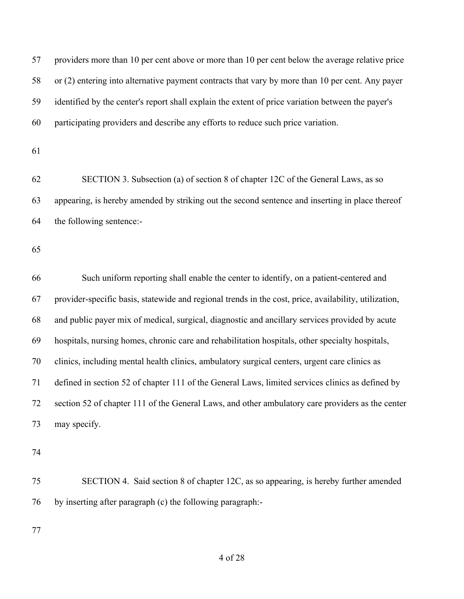providers more than 10 per cent above or more than 10 per cent below the average relative price or (2) entering into alternative payment contracts that vary by more than 10 per cent. Any payer identified by the center's report shall explain the extent of price variation between the payer's participating providers and describe any efforts to reduce such price variation.

 SECTION 3. Subsection (a) of section 8 of chapter 12C of the General Laws, as so appearing, is hereby amended by striking out the second sentence and inserting in place thereof the following sentence:-

 Such uniform reporting shall enable the center to identify, on a patient-centered and provider-specific basis, statewide and regional trends in the cost, price, availability, utilization, and public payer mix of medical, surgical, diagnostic and ancillary services provided by acute hospitals, nursing homes, chronic care and rehabilitation hospitals, other specialty hospitals, clinics, including mental health clinics, ambulatory surgical centers, urgent care clinics as defined in section 52 of chapter 111 of the General Laws, limited services clinics as defined by section 52 of chapter 111 of the General Laws, and other ambulatory care providers as the center may specify.

 SECTION 4. Said section 8 of chapter 12C, as so appearing, is hereby further amended by inserting after paragraph (c) the following paragraph:-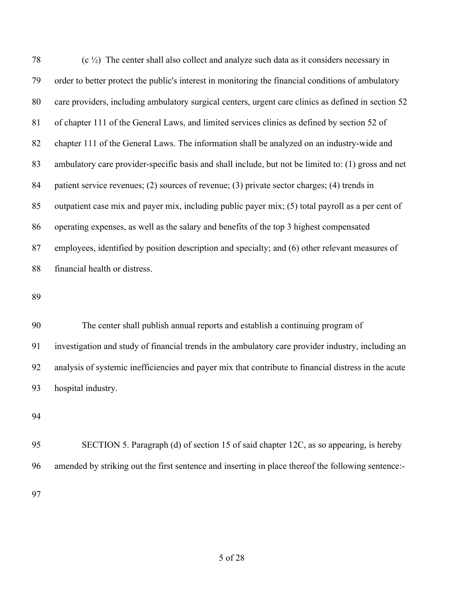| 78 | $(c \frac{1}{2})$ The center shall also collect and analyze such data as it considers necessary in  |
|----|-----------------------------------------------------------------------------------------------------|
| 79 | order to better protect the public's interest in monitoring the financial conditions of ambulatory  |
| 80 | care providers, including ambulatory surgical centers, urgent care clinics as defined in section 52 |
| 81 | of chapter 111 of the General Laws, and limited services clinics as defined by section 52 of        |
| 82 | chapter 111 of the General Laws. The information shall be analyzed on an industry-wide and          |
| 83 | ambulatory care provider-specific basis and shall include, but not be limited to: (1) gross and net |
| 84 | patient service revenues; (2) sources of revenue; (3) private sector charges; (4) trends in         |
| 85 | outpatient case mix and payer mix, including public payer mix; (5) total payroll as a per cent of   |
| 86 | operating expenses, as well as the salary and benefits of the top 3 highest compensated             |
| 87 | employees, identified by position description and specialty; and (6) other relevant measures of     |
| 88 | financial health or distress.                                                                       |

 The center shall publish annual reports and establish a continuing program of investigation and study of financial trends in the ambulatory care provider industry, including an analysis of systemic inefficiencies and payer mix that contribute to financial distress in the acute hospital industry.

 SECTION 5. Paragraph (d) of section 15 of said chapter 12C, as so appearing, is hereby amended by striking out the first sentence and inserting in place thereof the following sentence:-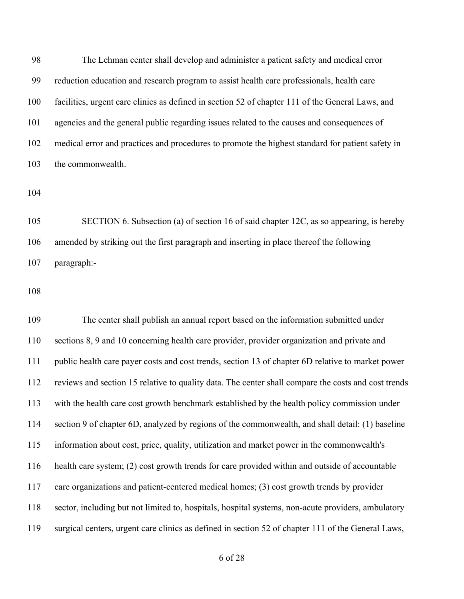The Lehman center shall develop and administer a patient safety and medical error reduction education and research program to assist health care professionals, health care facilities, urgent care clinics as defined in section 52 of chapter 111 of the General Laws, and agencies and the general public regarding issues related to the causes and consequences of medical error and practices and procedures to promote the highest standard for patient safety in the commonwealth.

 SECTION 6. Subsection (a) of section 16 of said chapter 12C, as so appearing, is hereby amended by striking out the first paragraph and inserting in place thereof the following paragraph:-

 The center shall publish an annual report based on the information submitted under sections 8, 9 and 10 concerning health care provider, provider organization and private and public health care payer costs and cost trends, section 13 of chapter 6D relative to market power reviews and section 15 relative to quality data. The center shall compare the costs and cost trends with the health care cost growth benchmark established by the health policy commission under section 9 of chapter 6D, analyzed by regions of the commonwealth, and shall detail: (1) baseline information about cost, price, quality, utilization and market power in the commonwealth's health care system; (2) cost growth trends for care provided within and outside of accountable care organizations and patient-centered medical homes; (3) cost growth trends by provider sector, including but not limited to, hospitals, hospital systems, non-acute providers, ambulatory surgical centers, urgent care clinics as defined in section 52 of chapter 111 of the General Laws,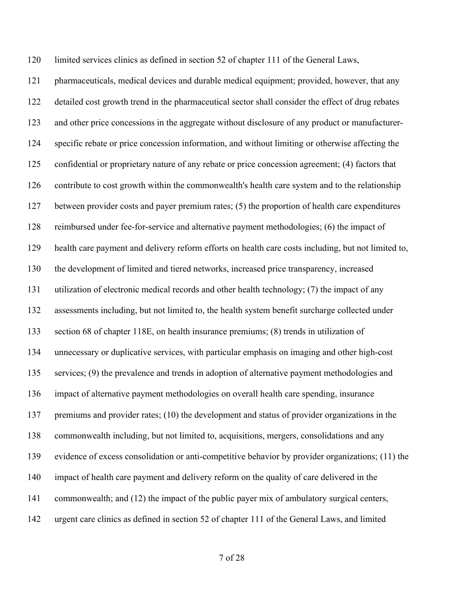limited services clinics as defined in section 52 of chapter 111 of the General Laws,

 pharmaceuticals, medical devices and durable medical equipment; provided, however, that any detailed cost growth trend in the pharmaceutical sector shall consider the effect of drug rebates and other price concessions in the aggregate without disclosure of any product or manufacturer- specific rebate or price concession information, and without limiting or otherwise affecting the confidential or proprietary nature of any rebate or price concession agreement; (4) factors that contribute to cost growth within the commonwealth's health care system and to the relationship between provider costs and payer premium rates; (5) the proportion of health care expenditures reimbursed under fee-for-service and alternative payment methodologies; (6) the impact of health care payment and delivery reform efforts on health care costs including, but not limited to, the development of limited and tiered networks, increased price transparency, increased utilization of electronic medical records and other health technology; (7) the impact of any assessments including, but not limited to, the health system benefit surcharge collected under section 68 of chapter 118E, on health insurance premiums; (8) trends in utilization of unnecessary or duplicative services, with particular emphasis on imaging and other high-cost services; (9) the prevalence and trends in adoption of alternative payment methodologies and impact of alternative payment methodologies on overall health care spending, insurance premiums and provider rates; (10) the development and status of provider organizations in the commonwealth including, but not limited to, acquisitions, mergers, consolidations and any evidence of excess consolidation or anti-competitive behavior by provider organizations; (11) the 140 impact of health care payment and delivery reform on the quality of care delivered in the commonwealth; and (12) the impact of the public payer mix of ambulatory surgical centers, urgent care clinics as defined in section 52 of chapter 111 of the General Laws, and limited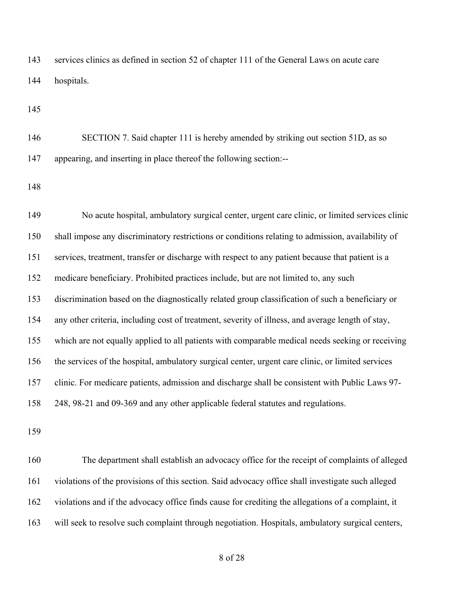services clinics as defined in section 52 of chapter 111 of the General Laws on acute care hospitals.

 SECTION 7. Said chapter 111 is hereby amended by striking out section 51D, as so appearing, and inserting in place thereof the following section:--

 No acute hospital, ambulatory surgical center, urgent care clinic, or limited services clinic shall impose any discriminatory restrictions or conditions relating to admission, availability of services, treatment, transfer or discharge with respect to any patient because that patient is a medicare beneficiary. Prohibited practices include, but are not limited to, any such discrimination based on the diagnostically related group classification of such a beneficiary or any other criteria, including cost of treatment, severity of illness, and average length of stay, which are not equally applied to all patients with comparable medical needs seeking or receiving the services of the hospital, ambulatory surgical center, urgent care clinic, or limited services clinic. For medicare patients, admission and discharge shall be consistent with Public Laws 97- 248, 98-21 and 09-369 and any other applicable federal statutes and regulations.

 The department shall establish an advocacy office for the receipt of complaints of alleged violations of the provisions of this section. Said advocacy office shall investigate such alleged violations and if the advocacy office finds cause for crediting the allegations of a complaint, it will seek to resolve such complaint through negotiation. Hospitals, ambulatory surgical centers,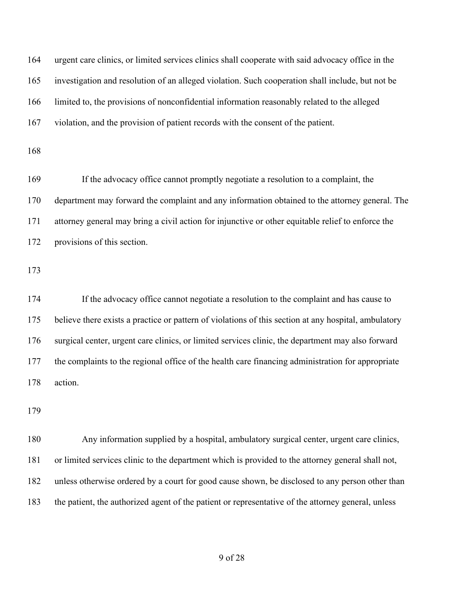urgent care clinics, or limited services clinics shall cooperate with said advocacy office in the investigation and resolution of an alleged violation. Such cooperation shall include, but not be limited to, the provisions of nonconfidential information reasonably related to the alleged violation, and the provision of patient records with the consent of the patient. 

 If the advocacy office cannot promptly negotiate a resolution to a complaint, the department may forward the complaint and any information obtained to the attorney general. The attorney general may bring a civil action for injunctive or other equitable relief to enforce the provisions of this section.

 If the advocacy office cannot negotiate a resolution to the complaint and has cause to believe there exists a practice or pattern of violations of this section at any hospital, ambulatory surgical center, urgent care clinics, or limited services clinic, the department may also forward the complaints to the regional office of the health care financing administration for appropriate action.

 Any information supplied by a hospital, ambulatory surgical center, urgent care clinics, or limited services clinic to the department which is provided to the attorney general shall not, unless otherwise ordered by a court for good cause shown, be disclosed to any person other than the patient, the authorized agent of the patient or representative of the attorney general, unless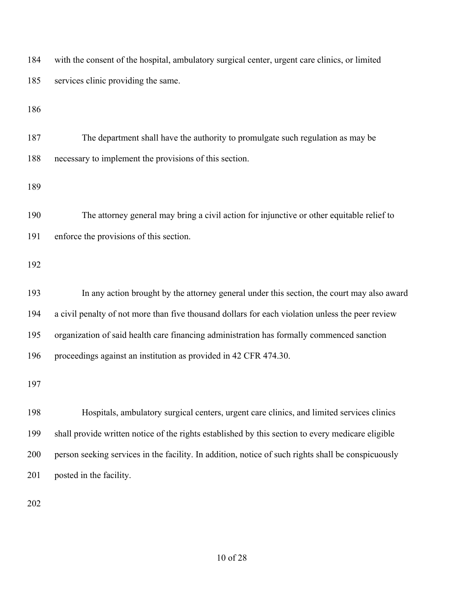| 184 | with the consent of the hospital, ambulatory surgical center, urgent care clinics, or limited      |
|-----|----------------------------------------------------------------------------------------------------|
| 185 | services clinic providing the same.                                                                |
| 186 |                                                                                                    |
| 187 | The department shall have the authority to promulgate such regulation as may be                    |
| 188 | necessary to implement the provisions of this section.                                             |
| 189 |                                                                                                    |
| 190 | The attorney general may bring a civil action for injunctive or other equitable relief to          |
| 191 | enforce the provisions of this section.                                                            |
| 192 |                                                                                                    |
| 193 | In any action brought by the attorney general under this section, the court may also award         |
| 194 | a civil penalty of not more than five thousand dollars for each violation unless the peer review   |
| 195 | organization of said health care financing administration has formally commenced sanction          |
| 196 | proceedings against an institution as provided in 42 CFR 474.30.                                   |
| 197 |                                                                                                    |
| 198 | Hospitals, ambulatory surgical centers, urgent care clinics, and limited services clinics          |
| 199 | shall provide written notice of the rights established by this section to every medicare eligible  |
| 200 | person seeking services in the facility. In addition, notice of such rights shall be conspicuously |
| 201 | posted in the facility.                                                                            |
| 202 |                                                                                                    |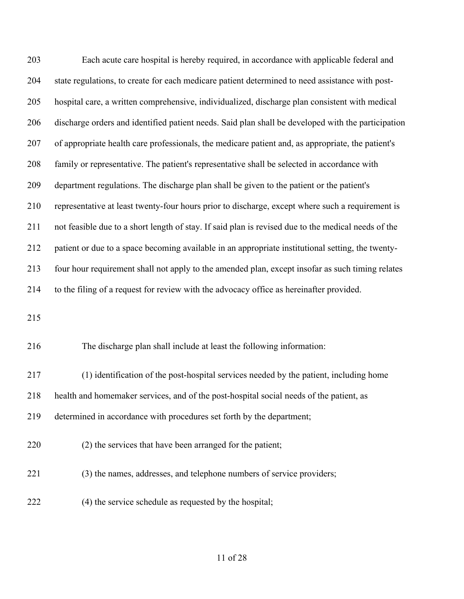Each acute care hospital is hereby required, in accordance with applicable federal and state regulations, to create for each medicare patient determined to need assistance with post- hospital care, a written comprehensive, individualized, discharge plan consistent with medical discharge orders and identified patient needs. Said plan shall be developed with the participation of appropriate health care professionals, the medicare patient and, as appropriate, the patient's family or representative. The patient's representative shall be selected in accordance with department regulations. The discharge plan shall be given to the patient or the patient's representative at least twenty-four hours prior to discharge, except where such a requirement is not feasible due to a short length of stay. If said plan is revised due to the medical needs of the patient or due to a space becoming available in an appropriate institutional setting, the twenty- four hour requirement shall not apply to the amended plan, except insofar as such timing relates to the filing of a request for review with the advocacy office as hereinafter provided.

The discharge plan shall include at least the following information:

 (1) identification of the post-hospital services needed by the patient, including home health and homemaker services, and of the post-hospital social needs of the patient, as determined in accordance with procedures set forth by the department;

- (2) the services that have been arranged for the patient;
- (3) the names, addresses, and telephone numbers of service providers;
- (4) the service schedule as requested by the hospital;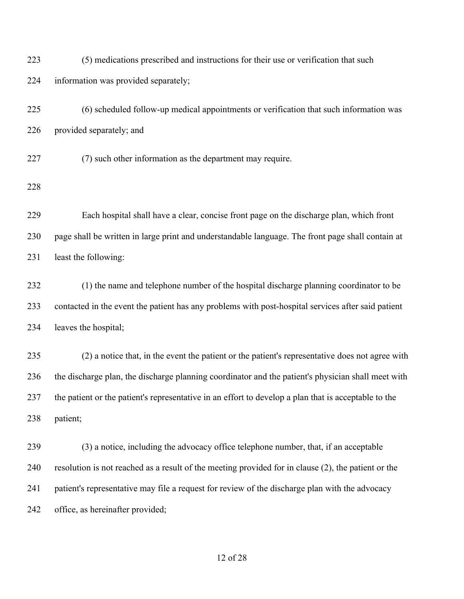| 223 | (5) medications prescribed and instructions for their use or verification that such                  |
|-----|------------------------------------------------------------------------------------------------------|
| 224 | information was provided separately;                                                                 |
| 225 | (6) scheduled follow-up medical appointments or verification that such information was               |
| 226 | provided separately; and                                                                             |
| 227 | (7) such other information as the department may require.                                            |
| 228 |                                                                                                      |
| 229 | Each hospital shall have a clear, concise front page on the discharge plan, which front              |
| 230 | page shall be written in large print and understandable language. The front page shall contain at    |
| 231 | least the following:                                                                                 |
| 232 | (1) the name and telephone number of the hospital discharge planning coordinator to be               |
| 233 | contacted in the event the patient has any problems with post-hospital services after said patient   |
| 234 | leaves the hospital;                                                                                 |
| 235 | (2) a notice that, in the event the patient or the patient's representative does not agree with      |
| 236 | the discharge plan, the discharge planning coordinator and the patient's physician shall meet with   |
| 237 | the patient or the patient's representative in an effort to develop a plan that is acceptable to the |
| 238 | patient;                                                                                             |
| 239 | (3) a notice, including the advocacy office telephone number, that, if an acceptable                 |
| 240 | resolution is not reached as a result of the meeting provided for in clause (2), the patient or the  |
| 241 | patient's representative may file a request for review of the discharge plan with the advocacy       |
| 242 | office, as hereinafter provided;                                                                     |

### of 28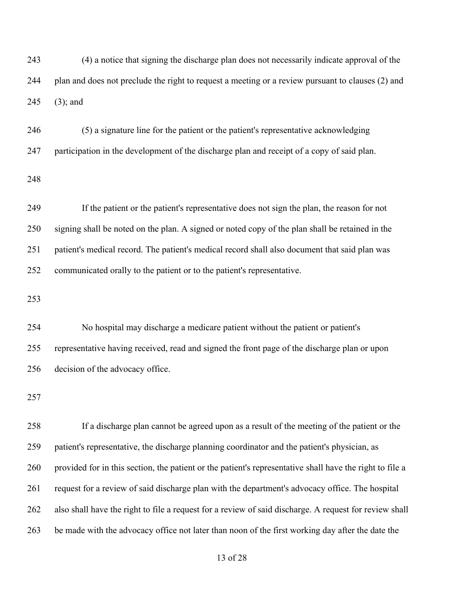(4) a notice that signing the discharge plan does not necessarily indicate approval of the plan and does not preclude the right to request a meeting or a review pursuant to clauses (2) and (3); and

 (5) a signature line for the patient or the patient's representative acknowledging participation in the development of the discharge plan and receipt of a copy of said plan.

 If the patient or the patient's representative does not sign the plan, the reason for not signing shall be noted on the plan. A signed or noted copy of the plan shall be retained in the patient's medical record. The patient's medical record shall also document that said plan was communicated orally to the patient or to the patient's representative.

 No hospital may discharge a medicare patient without the patient or patient's representative having received, read and signed the front page of the discharge plan or upon decision of the advocacy office.

 If a discharge plan cannot be agreed upon as a result of the meeting of the patient or the patient's representative, the discharge planning coordinator and the patient's physician, as provided for in this section, the patient or the patient's representative shall have the right to file a request for a review of said discharge plan with the department's advocacy office. The hospital also shall have the right to file a request for a review of said discharge. A request for review shall be made with the advocacy office not later than noon of the first working day after the date the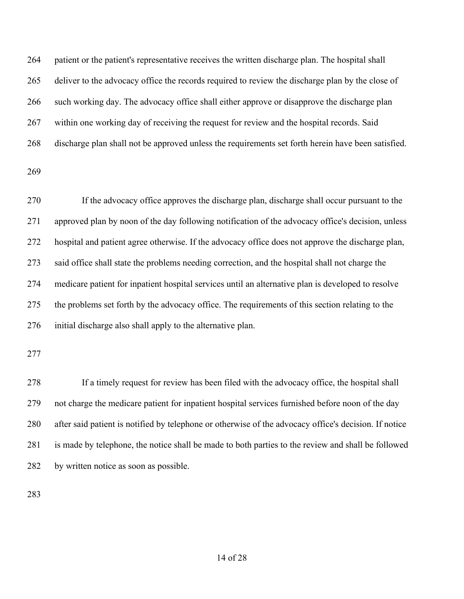patient or the patient's representative receives the written discharge plan. The hospital shall deliver to the advocacy office the records required to review the discharge plan by the close of such working day. The advocacy office shall either approve or disapprove the discharge plan within one working day of receiving the request for review and the hospital records. Said discharge plan shall not be approved unless the requirements set forth herein have been satisfied.

 If the advocacy office approves the discharge plan, discharge shall occur pursuant to the approved plan by noon of the day following notification of the advocacy office's decision, unless hospital and patient agree otherwise. If the advocacy office does not approve the discharge plan, said office shall state the problems needing correction, and the hospital shall not charge the medicare patient for inpatient hospital services until an alternative plan is developed to resolve the problems set forth by the advocacy office. The requirements of this section relating to the initial discharge also shall apply to the alternative plan.

 If a timely request for review has been filed with the advocacy office, the hospital shall not charge the medicare patient for inpatient hospital services furnished before noon of the day after said patient is notified by telephone or otherwise of the advocacy office's decision. If notice is made by telephone, the notice shall be made to both parties to the review and shall be followed by written notice as soon as possible.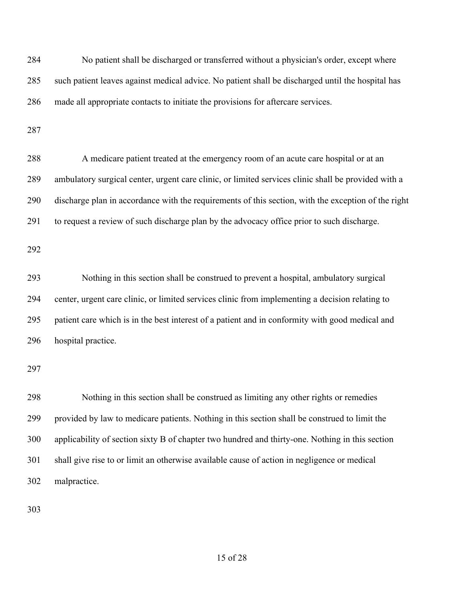| 284 | No patient shall be discharged or transferred without a physician's order, except where             |
|-----|-----------------------------------------------------------------------------------------------------|
| 285 | such patient leaves against medical advice. No patient shall be discharged until the hospital has   |
| 286 | made all appropriate contacts to initiate the provisions for aftercare services.                    |
| 287 |                                                                                                     |
| 288 | A medicare patient treated at the emergency room of an acute care hospital or at an                 |
| 289 | ambulatory surgical center, urgent care clinic, or limited services clinic shall be provided with a |
| 290 | discharge plan in accordance with the requirements of this section, with the exception of the right |
| 291 | to request a review of such discharge plan by the advocacy office prior to such discharge.          |
| 292 |                                                                                                     |
| 293 | Nothing in this section shall be construed to prevent a hospital, ambulatory surgical               |
| 294 | center, urgent care clinic, or limited services clinic from implementing a decision relating to     |
| 295 | patient care which is in the best interest of a patient and in conformity with good medical and     |
| 296 | hospital practice.                                                                                  |
| 297 |                                                                                                     |
| 298 | Nothing in this section shall be construed as limiting any other rights or remedies                 |
| 299 | provided by law to medicare patients. Nothing in this section shall be construed to limit the       |
| 300 | applicability of section sixty B of chapter two hundred and thirty-one. Nothing in this section     |
| 301 | shall give rise to or limit an otherwise available cause of action in negligence or medical         |
| 302 | malpractice.                                                                                        |
| 303 |                                                                                                     |

of 28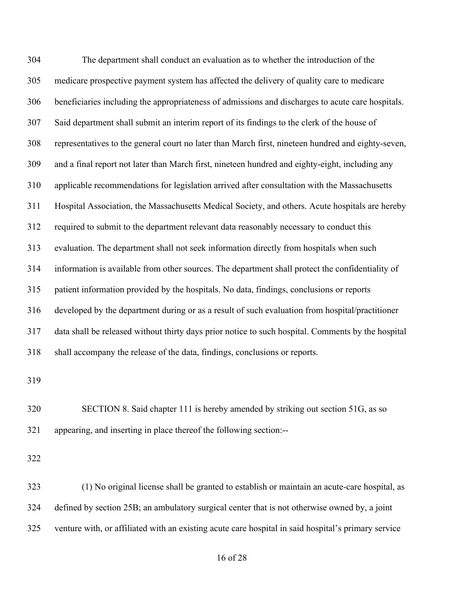The department shall conduct an evaluation as to whether the introduction of the medicare prospective payment system has affected the delivery of quality care to medicare beneficiaries including the appropriateness of admissions and discharges to acute care hospitals. Said department shall submit an interim report of its findings to the clerk of the house of representatives to the general court no later than March first, nineteen hundred and eighty-seven, and a final report not later than March first, nineteen hundred and eighty-eight, including any applicable recommendations for legislation arrived after consultation with the Massachusetts Hospital Association, the Massachusetts Medical Society, and others. Acute hospitals are hereby required to submit to the department relevant data reasonably necessary to conduct this evaluation. The department shall not seek information directly from hospitals when such information is available from other sources. The department shall protect the confidentiality of patient information provided by the hospitals. No data, findings, conclusions or reports developed by the department during or as a result of such evaluation from hospital/practitioner data shall be released without thirty days prior notice to such hospital. Comments by the hospital shall accompany the release of the data, findings, conclusions or reports. 

 SECTION 8. Said chapter 111 is hereby amended by striking out section 51G, as so appearing, and inserting in place thereof the following section:--

 (1) No original license shall be granted to establish or maintain an acute-care hospital, as defined by section 25B; an ambulatory surgical center that is not otherwise owned by, a joint venture with, or affiliated with an existing acute care hospital in said hospital's primary service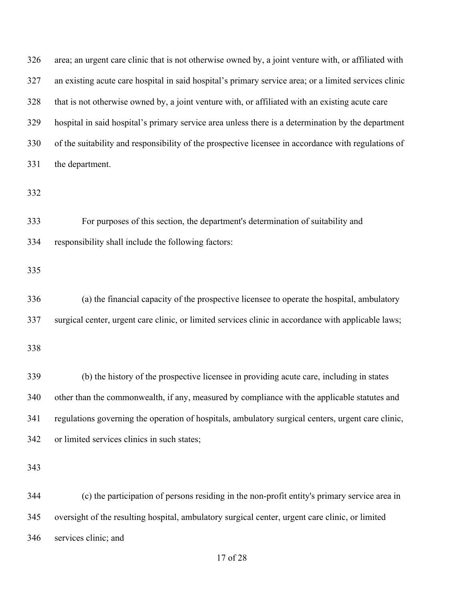| 326 | area; an urgent care clinic that is not otherwise owned by, a joint venture with, or affiliated with  |
|-----|-------------------------------------------------------------------------------------------------------|
| 327 | an existing acute care hospital in said hospital's primary service area; or a limited services clinic |
| 328 | that is not otherwise owned by, a joint venture with, or affiliated with an existing acute care       |
| 329 | hospital in said hospital's primary service area unless there is a determination by the department    |
| 330 | of the suitability and responsibility of the prospective licensee in accordance with regulations of   |
| 331 | the department.                                                                                       |
| 332 |                                                                                                       |
| 333 | For purposes of this section, the department's determination of suitability and                       |
| 334 | responsibility shall include the following factors:                                                   |
| 335 |                                                                                                       |
| 336 | (a) the financial capacity of the prospective licensee to operate the hospital, ambulatory            |
| 337 | surgical center, urgent care clinic, or limited services clinic in accordance with applicable laws;   |
| 338 |                                                                                                       |
| 339 | (b) the history of the prospective licensee in providing acute care, including in states              |
| 340 | other than the commonwealth, if any, measured by compliance with the applicable statutes and          |
| 341 | regulations governing the operation of hospitals, ambulatory surgical centers, urgent care clinic,    |
| 342 | or limited services clinics in such states;                                                           |
| 343 |                                                                                                       |
| 344 | (c) the participation of persons residing in the non-profit entity's primary service area in          |
| 345 | oversight of the resulting hospital, ambulatory surgical center, urgent care clinic, or limited       |
| 346 | services clinic; and                                                                                  |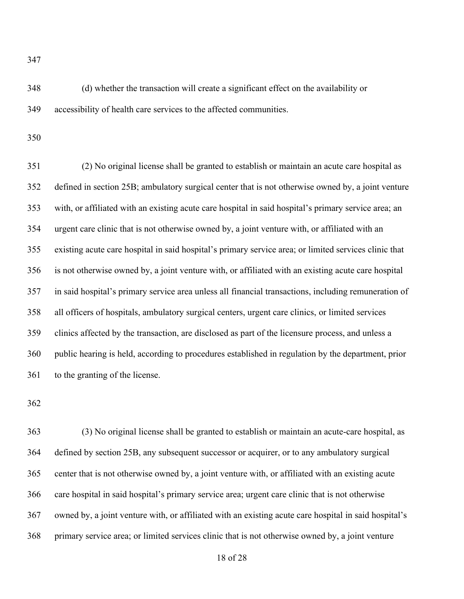(d) whether the transaction will create a significant effect on the availability or accessibility of health care services to the affected communities.

 (2) No original license shall be granted to establish or maintain an acute care hospital as defined in section 25B; ambulatory surgical center that is not otherwise owned by, a joint venture with, or affiliated with an existing acute care hospital in said hospital's primary service area; an urgent care clinic that is not otherwise owned by, a joint venture with, or affiliated with an existing acute care hospital in said hospital's primary service area; or limited services clinic that is not otherwise owned by, a joint venture with, or affiliated with an existing acute care hospital in said hospital's primary service area unless all financial transactions, including remuneration of all officers of hospitals, ambulatory surgical centers, urgent care clinics, or limited services clinics affected by the transaction, are disclosed as part of the licensure process, and unless a public hearing is held, according to procedures established in regulation by the department, prior to the granting of the license.

 (3) No original license shall be granted to establish or maintain an acute-care hospital, as defined by section 25B, any subsequent successor or acquirer, or to any ambulatory surgical center that is not otherwise owned by, a joint venture with, or affiliated with an existing acute care hospital in said hospital's primary service area; urgent care clinic that is not otherwise owned by, a joint venture with, or affiliated with an existing acute care hospital in said hospital's primary service area; or limited services clinic that is not otherwise owned by, a joint venture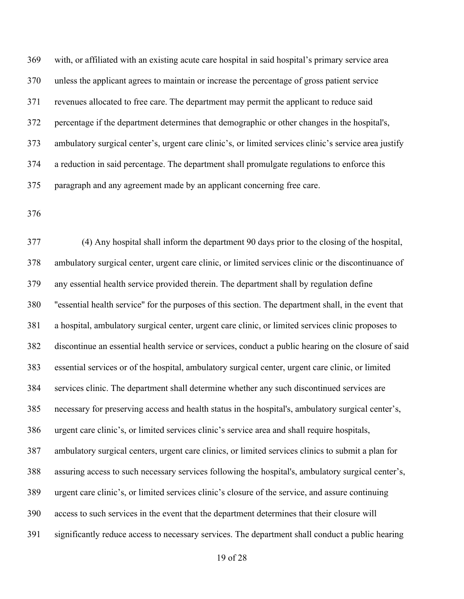with, or affiliated with an existing acute care hospital in said hospital's primary service area unless the applicant agrees to maintain or increase the percentage of gross patient service revenues allocated to free care. The department may permit the applicant to reduce said percentage if the department determines that demographic or other changes in the hospital's, ambulatory surgical center's, urgent care clinic's, or limited services clinic's service area justify a reduction in said percentage. The department shall promulgate regulations to enforce this paragraph and any agreement made by an applicant concerning free care.

 (4) Any hospital shall inform the department 90 days prior to the closing of the hospital, ambulatory surgical center, urgent care clinic, or limited services clinic or the discontinuance of any essential health service provided therein. The department shall by regulation define ''essential health service'' for the purposes of this section. The department shall, in the event that a hospital, ambulatory surgical center, urgent care clinic, or limited services clinic proposes to discontinue an essential health service or services, conduct a public hearing on the closure of said essential services or of the hospital, ambulatory surgical center, urgent care clinic, or limited services clinic. The department shall determine whether any such discontinued services are necessary for preserving access and health status in the hospital's, ambulatory surgical center's, urgent care clinic's, or limited services clinic's service area and shall require hospitals, ambulatory surgical centers, urgent care clinics, or limited services clinics to submit a plan for assuring access to such necessary services following the hospital's, ambulatory surgical center's, urgent care clinic's, or limited services clinic's closure of the service, and assure continuing access to such services in the event that the department determines that their closure will significantly reduce access to necessary services. The department shall conduct a public hearing

of 28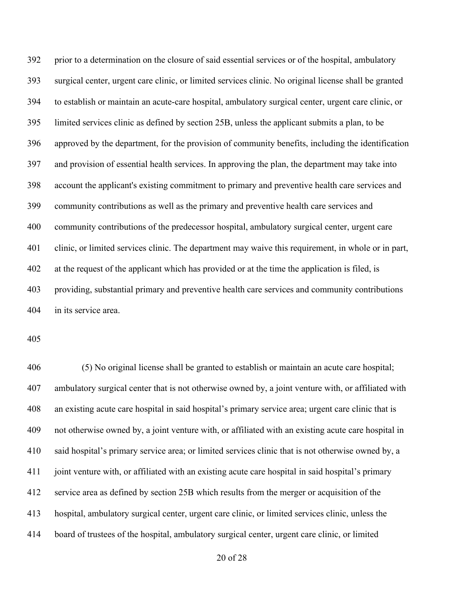prior to a determination on the closure of said essential services or of the hospital, ambulatory surgical center, urgent care clinic, or limited services clinic. No original license shall be granted to establish or maintain an acute-care hospital, ambulatory surgical center, urgent care clinic, or limited services clinic as defined by section 25B, unless the applicant submits a plan, to be approved by the department, for the provision of community benefits, including the identification and provision of essential health services. In approving the plan, the department may take into account the applicant's existing commitment to primary and preventive health care services and community contributions as well as the primary and preventive health care services and community contributions of the predecessor hospital, ambulatory surgical center, urgent care clinic, or limited services clinic. The department may waive this requirement, in whole or in part, at the request of the applicant which has provided or at the time the application is filed, is providing, substantial primary and preventive health care services and community contributions in its service area.

 (5) No original license shall be granted to establish or maintain an acute care hospital; ambulatory surgical center that is not otherwise owned by, a joint venture with, or affiliated with an existing acute care hospital in said hospital's primary service area; urgent care clinic that is not otherwise owned by, a joint venture with, or affiliated with an existing acute care hospital in said hospital's primary service area; or limited services clinic that is not otherwise owned by, a joint venture with, or affiliated with an existing acute care hospital in said hospital's primary service area as defined by section 25B which results from the merger or acquisition of the hospital, ambulatory surgical center, urgent care clinic, or limited services clinic, unless the board of trustees of the hospital, ambulatory surgical center, urgent care clinic, or limited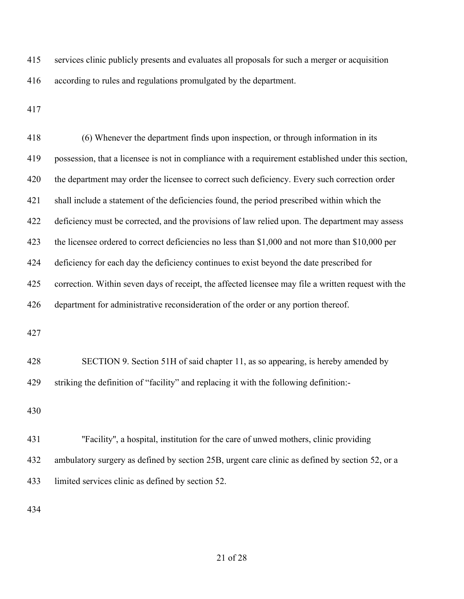services clinic publicly presents and evaluates all proposals for such a merger or acquisition according to rules and regulations promulgated by the department.

| 418 | (6) Whenever the department finds upon inspection, or through information in its                    |
|-----|-----------------------------------------------------------------------------------------------------|
| 419 | possession, that a licensee is not in compliance with a requirement established under this section, |
| 420 | the department may order the licensee to correct such deficiency. Every such correction order       |
| 421 | shall include a statement of the deficiencies found, the period prescribed within which the         |
| 422 | deficiency must be corrected, and the provisions of law relied upon. The department may assess      |
| 423 | the licensee ordered to correct deficiencies no less than \$1,000 and not more than \$10,000 per    |
| 424 | deficiency for each day the deficiency continues to exist beyond the date prescribed for            |
| 425 | correction. Within seven days of receipt, the affected licensee may file a written request with the |
| 426 | department for administrative reconsideration of the order or any portion thereof.                  |
| 427 |                                                                                                     |
| 428 | SECTION 9. Section 51H of said chapter 11, as so appearing, is hereby amended by                    |
| 429 | striking the definition of "facility" and replacing it with the following definition:-              |
| 430 |                                                                                                     |
| 431 | "Facility", a hospital, institution for the care of unwed mothers, clinic providing                 |
| 432 | ambulatory surgery as defined by section 25B, urgent care clinic as defined by section 52, or a     |
| 433 | limited services clinic as defined by section 52.                                                   |
|     |                                                                                                     |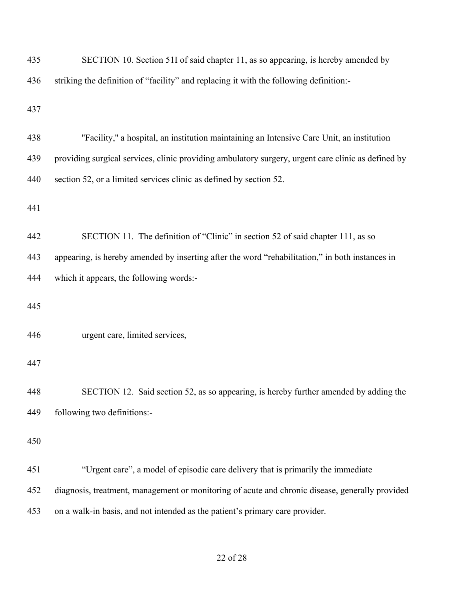| 435 | SECTION 10. Section 51I of said chapter 11, as so appearing, is hereby amended by                  |
|-----|----------------------------------------------------------------------------------------------------|
| 436 | striking the definition of "facility" and replacing it with the following definition:-             |
| 437 |                                                                                                    |
| 438 | "Facility," a hospital, an institution maintaining an Intensive Care Unit, an institution          |
| 439 | providing surgical services, clinic providing ambulatory surgery, urgent care clinic as defined by |
| 440 | section 52, or a limited services clinic as defined by section 52.                                 |
| 441 |                                                                                                    |
| 442 | SECTION 11. The definition of "Clinic" in section 52 of said chapter 111, as so                    |
| 443 | appearing, is hereby amended by inserting after the word "rehabilitation," in both instances in    |
| 444 | which it appears, the following words:-                                                            |
| 445 |                                                                                                    |
| 446 | urgent care, limited services,                                                                     |
| 447 |                                                                                                    |
| 448 | SECTION 12. Said section 52, as so appearing, is hereby further amended by adding the              |
| 449 | following two definitions:-                                                                        |
| 450 |                                                                                                    |
| 451 | "Urgent care", a model of episodic care delivery that is primarily the immediate                   |
| 452 | diagnosis, treatment, management or monitoring of acute and chronic disease, generally provided    |
| 453 | on a walk-in basis, and not intended as the patient's primary care provider.                       |
|     |                                                                                                    |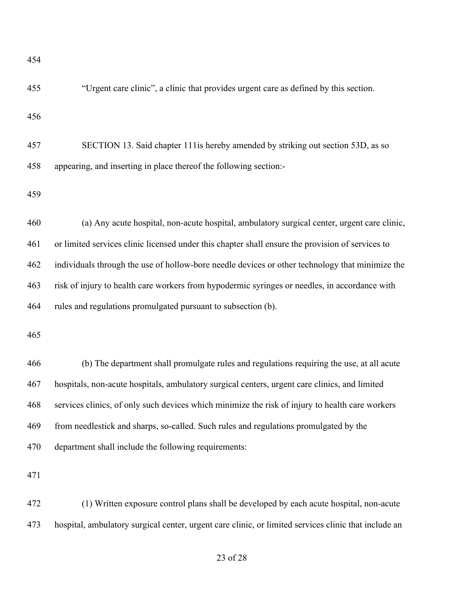"Urgent care clinic", a clinic that provides urgent care as defined by this section.

 SECTION 13. Said chapter 111is hereby amended by striking out section 53D, as so appearing, and inserting in place thereof the following section:-

 (a) Any acute hospital, non-acute hospital, ambulatory surgical center, urgent care clinic, or limited services clinic licensed under this chapter shall ensure the provision of services to individuals through the use of hollow-bore needle devices or other technology that minimize the risk of injury to health care workers from hypodermic syringes or needles, in accordance with rules and regulations promulgated pursuant to subsection (b).

 (b) The department shall promulgate rules and regulations requiring the use, at all acute hospitals, non-acute hospitals, ambulatory surgical centers, urgent care clinics, and limited services clinics, of only such devices which minimize the risk of injury to health care workers from needlestick and sharps, so-called. Such rules and regulations promulgated by the department shall include the following requirements:

 (1) Written exposure control plans shall be developed by each acute hospital, non-acute hospital, ambulatory surgical center, urgent care clinic, or limited services clinic that include an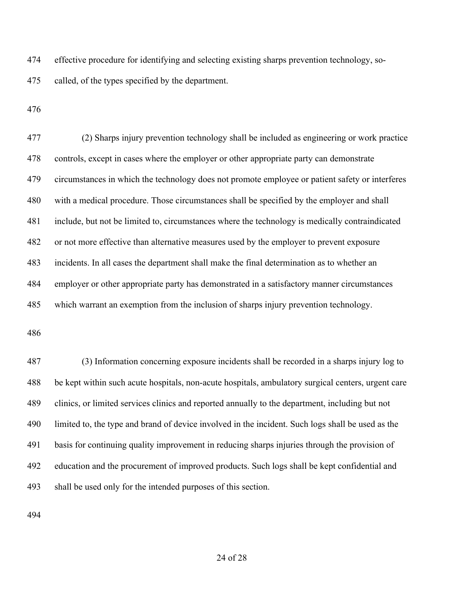effective procedure for identifying and selecting existing sharps prevention technology, so-called, of the types specified by the department.

 (2) Sharps injury prevention technology shall be included as engineering or work practice controls, except in cases where the employer or other appropriate party can demonstrate circumstances in which the technology does not promote employee or patient safety or interferes with a medical procedure. Those circumstances shall be specified by the employer and shall include, but not be limited to, circumstances where the technology is medically contraindicated or not more effective than alternative measures used by the employer to prevent exposure incidents. In all cases the department shall make the final determination as to whether an employer or other appropriate party has demonstrated in a satisfactory manner circumstances which warrant an exemption from the inclusion of sharps injury prevention technology.

 (3) Information concerning exposure incidents shall be recorded in a sharps injury log to be kept within such acute hospitals, non-acute hospitals, ambulatory surgical centers, urgent care clinics, or limited services clinics and reported annually to the department, including but not limited to, the type and brand of device involved in the incident. Such logs shall be used as the basis for continuing quality improvement in reducing sharps injuries through the provision of education and the procurement of improved products. Such logs shall be kept confidential and shall be used only for the intended purposes of this section.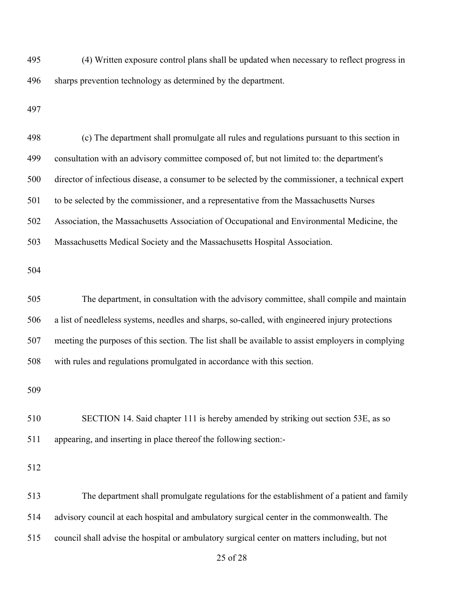(4) Written exposure control plans shall be updated when necessary to reflect progress in sharps prevention technology as determined by the department.

| 498 | (c) The department shall promulgate all rules and regulations pursuant to this section in          |
|-----|----------------------------------------------------------------------------------------------------|
| 499 | consultation with an advisory committee composed of, but not limited to: the department's          |
| 500 | director of infectious disease, a consumer to be selected by the commissioner, a technical expert  |
| 501 | to be selected by the commissioner, and a representative from the Massachusetts Nurses             |
| 502 | Association, the Massachusetts Association of Occupational and Environmental Medicine, the         |
| 503 | Massachusetts Medical Society and the Massachusetts Hospital Association.                          |
| 504 |                                                                                                    |
| 505 | The department, in consultation with the advisory committee, shall compile and maintain            |
| 506 | a list of needleless systems, needles and sharps, so-called, with engineered injury protections    |
| 507 | meeting the purposes of this section. The list shall be available to assist employers in complying |
| 508 | with rules and regulations promulgated in accordance with this section.                            |
| 509 |                                                                                                    |
| 510 | SECTION 14. Said chapter 111 is hereby amended by striking out section 53E, as so                  |
| 511 | appearing, and inserting in place thereof the following section:-                                  |
| 512 |                                                                                                    |
| 513 | The department shall promulgate regulations for the establishment of a patient and family          |
| 514 | advisory council at each hospital and ambulatory surgical center in the commonwealth. The          |
| 515 | council shall advise the hospital or ambulatory surgical center on matters including, but not      |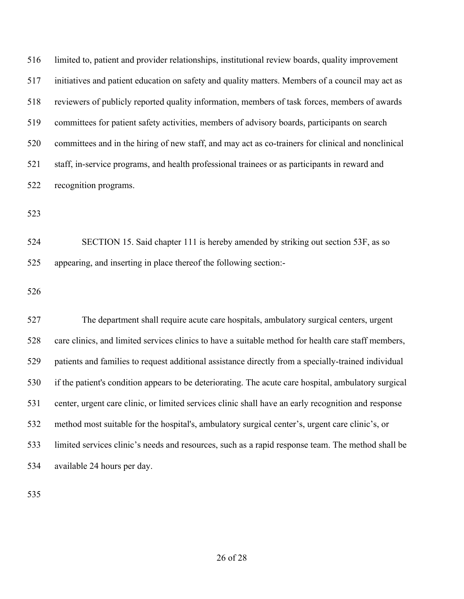limited to, patient and provider relationships, institutional review boards, quality improvement initiatives and patient education on safety and quality matters. Members of a council may act as reviewers of publicly reported quality information, members of task forces, members of awards committees for patient safety activities, members of advisory boards, participants on search committees and in the hiring of new staff, and may act as co-trainers for clinical and nonclinical staff, in-service programs, and health professional trainees or as participants in reward and recognition programs.

 SECTION 15. Said chapter 111 is hereby amended by striking out section 53F, as so appearing, and inserting in place thereof the following section:-

 The department shall require acute care hospitals, ambulatory surgical centers, urgent care clinics, and limited services clinics to have a suitable method for health care staff members, patients and families to request additional assistance directly from a specially-trained individual if the patient's condition appears to be deteriorating. The acute care hospital, ambulatory surgical center, urgent care clinic, or limited services clinic shall have an early recognition and response method most suitable for the hospital's, ambulatory surgical center's, urgent care clinic's, or limited services clinic's needs and resources, such as a rapid response team. The method shall be available 24 hours per day.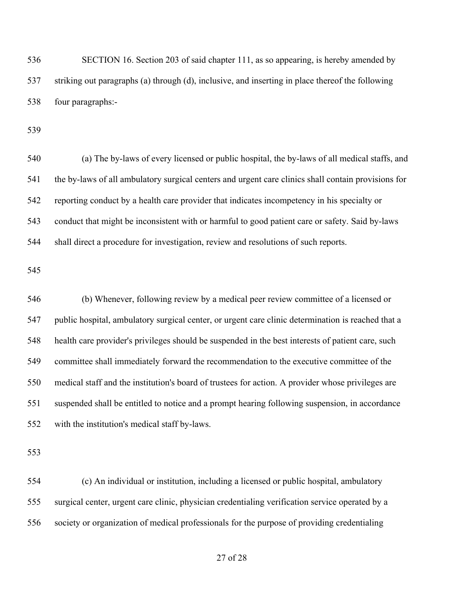SECTION 16. Section 203 of said chapter 111, as so appearing, is hereby amended by striking out paragraphs (a) through (d), inclusive, and inserting in place thereof the following four paragraphs:-

 (a) The by-laws of every licensed or public hospital, the by-laws of all medical staffs, and the by-laws of all ambulatory surgical centers and urgent care clinics shall contain provisions for reporting conduct by a health care provider that indicates incompetency in his specialty or conduct that might be inconsistent with or harmful to good patient care or safety. Said by-laws shall direct a procedure for investigation, review and resolutions of such reports.

 (b) Whenever, following review by a medical peer review committee of a licensed or public hospital, ambulatory surgical center, or urgent care clinic determination is reached that a health care provider's privileges should be suspended in the best interests of patient care, such committee shall immediately forward the recommendation to the executive committee of the medical staff and the institution's board of trustees for action. A provider whose privileges are suspended shall be entitled to notice and a prompt hearing following suspension, in accordance with the institution's medical staff by-laws.

 (c) An individual or institution, including a licensed or public hospital, ambulatory surgical center, urgent care clinic, physician credentialing verification service operated by a society or organization of medical professionals for the purpose of providing credentialing